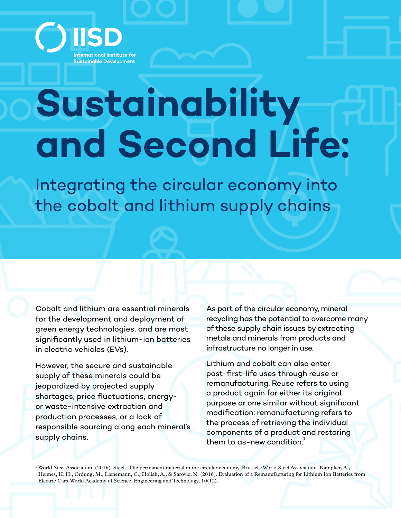

## **Sustainability and Second Life:**

Integrating the circular economy into the cobalt and lithium supply chains

Cobalt and lithium are essential minerals for the development and deployment of green energy technologies, and are most significantly used in lithium-ion batteries in electric vehicles (EVs).

However, the secure and sustainable supply of these minerals could be jeopardized by projected supply shortages, price fluctuations, energyor waste-intensive extraction and production processes, or a lack of responsible sourcing along each mineral's supply chains.

As part of the circular economy, mineral recycling has the potential to overcome many of these supply chain issues by extracting metals and minerals from products and infrastructure no longer in use.

Lithium and cobalt can also enter post-first-life uses through reuse or remanufacturing. Reuse refers to using a product again for either its original purpose or one similar without significant modification; remanufacturing refers to the process of retrieving the individual components of a product and restoring them to as-new condition.<sup>1</sup>

<sup>1</sup> World Steel Association. (2016). Steel - The permanent material in the circular economy. Brussels: World Steel Association. Kampker, A., Heimes, H. H., Ordung, M., Lienemann, C., Hollah, A., & Sarovic, N. (2016). Evaluation of a Remanufacturing for Lithium Ion Batteries from Electric Cars. World Academy of Science, Engineering and Technology, 10(12).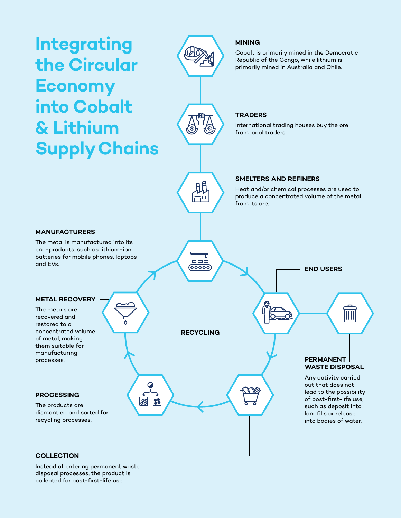

## **COLLECTION**

Instead of entering permanent waste disposal processes, the product is collected for post-first-life use.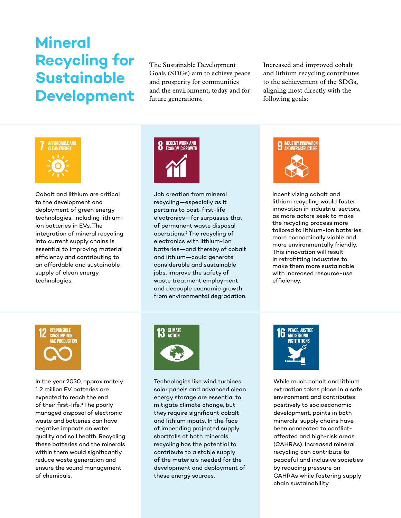## **Mineral Recycling for Sustainable Development**

The Sustainable Development Goals (SDGs) aim to achieve peace and prosperity for communities and the environment, today and for future generations.

Increased and improved cobalt and lithium recycling contributes to the achievement of the SDGs, aligning most directly with the following goals:



Cobalt and lithium are critical to the development and deployment of green energy technologies, including lithiumion batteries in EVs. The integration of mineral recycling into current supply chains is essential to improving material efficiency and contributing to an affordable and sustainable supply of clean energy technologies.



Job creation from mineral recycling—especially as it pertains to post-first-life electronics—far surpasses that of permanent waste disposal operations.2 The recycling of electronics with lithium-ion batteries—and thereby of cobalt and lithium—could generate considerable and sustainable jobs, improve the safety of waste treatment employment and decouple economic growth from environmental degradation.



Incentivizing cobalt and lithium recycling would foster innovation in industrial sectors, as more actors seek to make the recycling process more tailored to lithium-ion batteries, more economically viable and more environmentally friendly. This innovation will result in retrofitting industries to make them more sustainable with increased resource-use efficiency.



In the year 2030, approximately 1.2 million EV batteries are expected to reach the end of their first-life.3 The poorly managed disposal of electronic waste and batteries can have negative impacts on water quality and soil health. Recycling these batteries and the minerals within them would significantly reduce waste generation and ensure the sound management of chemicals.



Technologies like wind turbines, solar panels and advanced clean energy storage are essential to mitigate climate change, but they require significant cobalt and lithium inputs. In the face of impending projected supply shortfalls of both minerals, recycling has the potential to contribute to a stable supply of the materials needed for the development and deployment of these energy sources.



While much cobalt and lithium extraction takes place in a safe environment and contributes positively to socioeconomic development, points in both minerals' supply chains have been connected to conflictaffected and high-risk areas (CAHRAs). Increased mineral recycling can contribute to peaceful and inclusive societies by reducing pressure on CAHRAs while fostering supply chain sustainability.